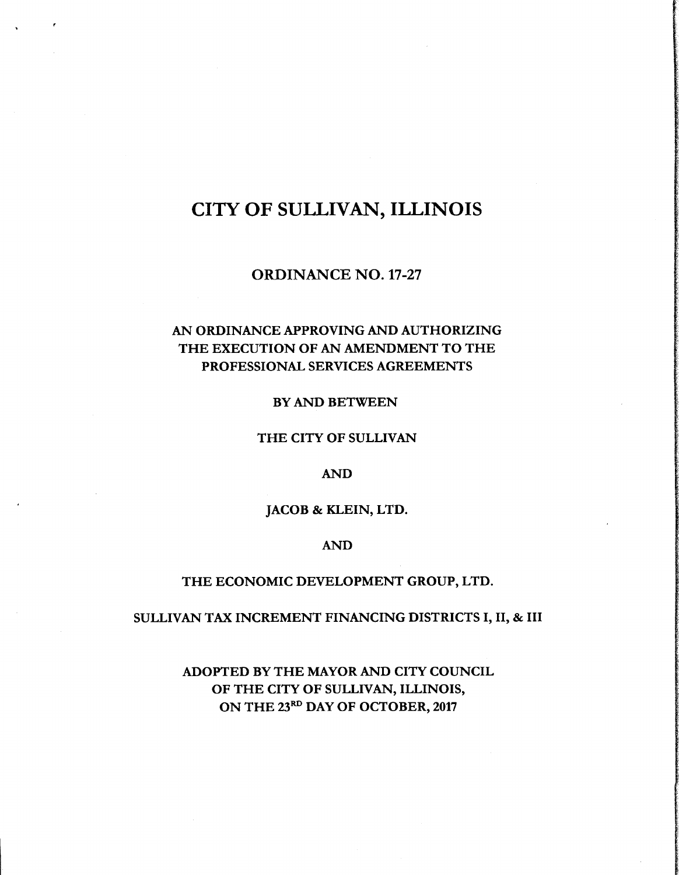# CITY OF SULLIVAN, ILLINOIS

r

ORDINANCE NO. 17-27

# AN ORDINANCE APPROVING AND AUTHORIZING THE EXECUTION OF AN AMENDMENT TO THE PROFESSIONAL SERVICES AGREEMENTS

BY AND BETWEEN

### THE CITY OF SULLIVAN

### AND

### JACOB & KLEIN, LTD.

### AND

#### THE ECONOMIC DEVELOPMENT GROUP, LTD.

### SULLIVAN TAX INCREMENT FINANCING DISTRICTS I, II, & III

# ADOPTED BY THE MAYOR AND CITY COUNCIL OF THE CITY OF SULLIVAN, ILLINOIS, ON THE 23RD DAY OF OCTOBER, 2017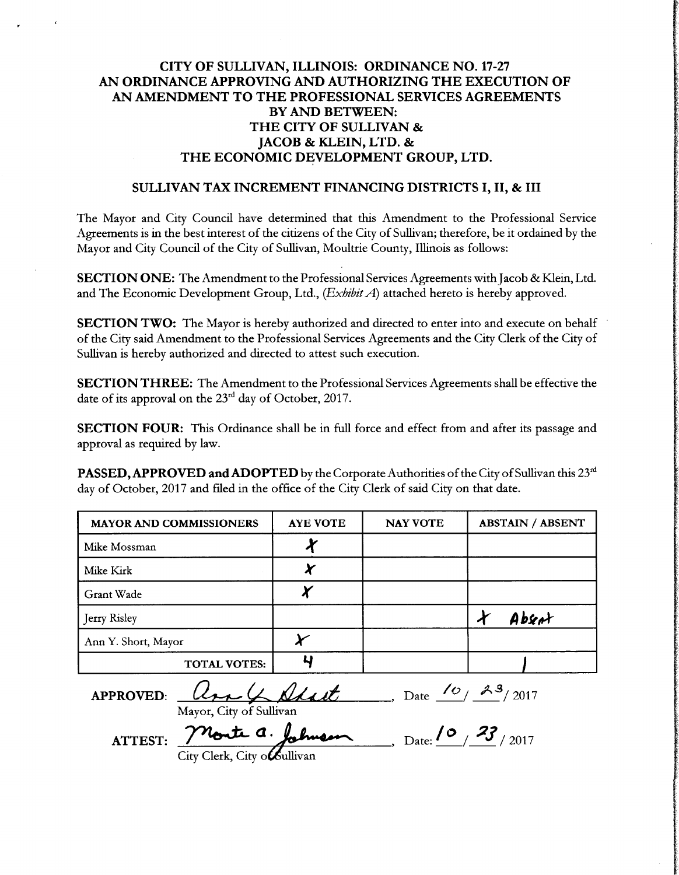## CITY OF SULLIVAN, ILLINOIS: ORDINANCE NO. 17-27 AN ORDINANCE APPROVING AND AUTHORIZING THE EXECUTION OF AN AMENDMENT TO THE PROFESSIONAL SERVICES AGREEMENTS BY AND BETWEEN: THE CITY OF SULLIVAN & JACOB & KLEIN, LTD. & THE ECONOMIC DEVELOPMENT GROUP, LTD.

### SULLIVAN TAX INCREMENT FINANCING DISTRICTS I, II, & III

The Mayor and City Council have determined that this Amendment to the Professional Service Agreements is in the best interest of the citizens of the City of Sullivan; therefore, be it ordained by the Mayor and City Council of the City of Sullivan, Moultrie County, Illinois as follows:

SECTION ONE: The Amendment to the Professional Services Agreements with Jacob & Klein, Ltd. and The Economic Development Group, Ltd.,  $(Exhibit A)$  attached hereto is hereby approved.

SECTION TWO: The Mayor is hereby authorized and directed to enter into and execute on behalf of the City said Amendment to the Professional Services Agreements and the City Clerk of the City of Sullivan is hereby authorized and directed to attest such execution.

SECTION THREE: The Amendment to the Professional Services Agreements shall be effective the date of its approval on the  $23<sup>rd</sup>$  day of October, 2017.

SECTION FOUR: This Ordinance shall be in full force and effect from and after its passage and approval as required by law.

PASSED, APPROVED and ADOPTED by the Corporate Authorities of the City of Sullivan this 23<sup>rd</sup> day of October, 2017 and filed in the office of the City Clerk of said City on that date.

| <b>MAYOR AND COMMISSIONERS</b> | <b>AYE VOTE</b> | <b>NAY VOTE</b> | <b>ABSTAIN / ABSENT</b> |
|--------------------------------|-----------------|-----------------|-------------------------|
| Mike Mossman                   |                 |                 |                         |
| Mike Kirk                      |                 |                 |                         |
| Grant Wade                     |                 |                 |                         |
| Jerry Risley                   |                 |                 | Absent                  |
| Ann Y. Short, Mayor            |                 |                 |                         |
| <b>TOTAL VOTES:</b>            |                 |                 |                         |

APPROVED:  $Q_{\mu\nu}Q_{\mu\nu}$   $Q_{\mu\nu}P_{\nu}$ , Date  $Q_{\mu\nu}P_{\nu}$ 

ATTEST: Monte a. Johnson, Date:  $\frac{10}{23}$ /2017

City Clerk, City o*C*ullivan

Mayor, City of Sullivan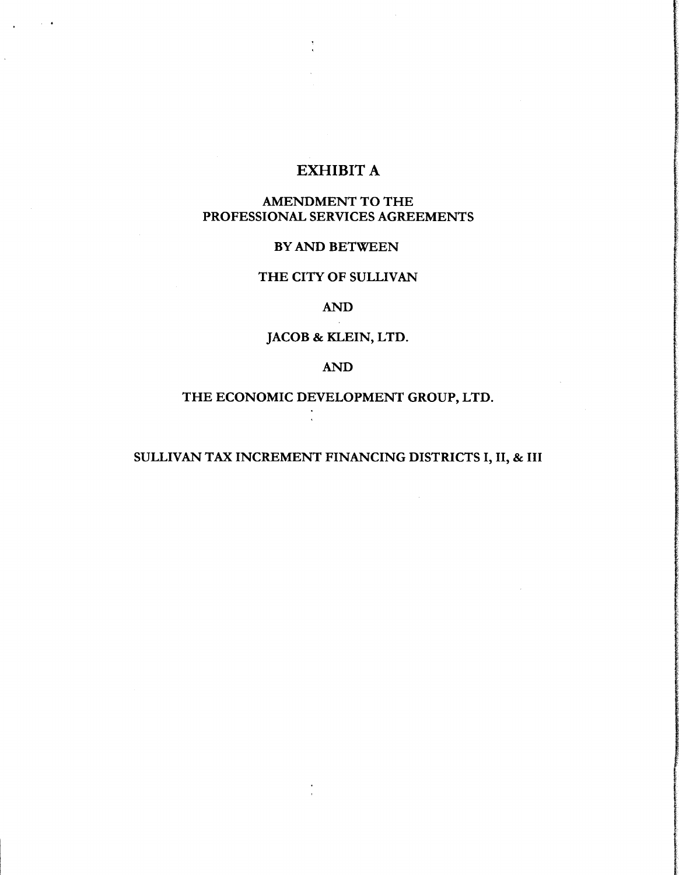# EXHIBIT A

## AMENDMENT TO THE PROFESSIONAL SERVICES AGREEMENTS

### BY AND BETWEEN

## THE CITY OF SULLIVAN

### AND

# JACOB & KLEIN, LTD.

## AND

# THE ECONOMIC DEVELOPMENT GROUP, LTD.

# SULLIVAN TAX INCREMENT FINANCING DISTRICTS I, II, & III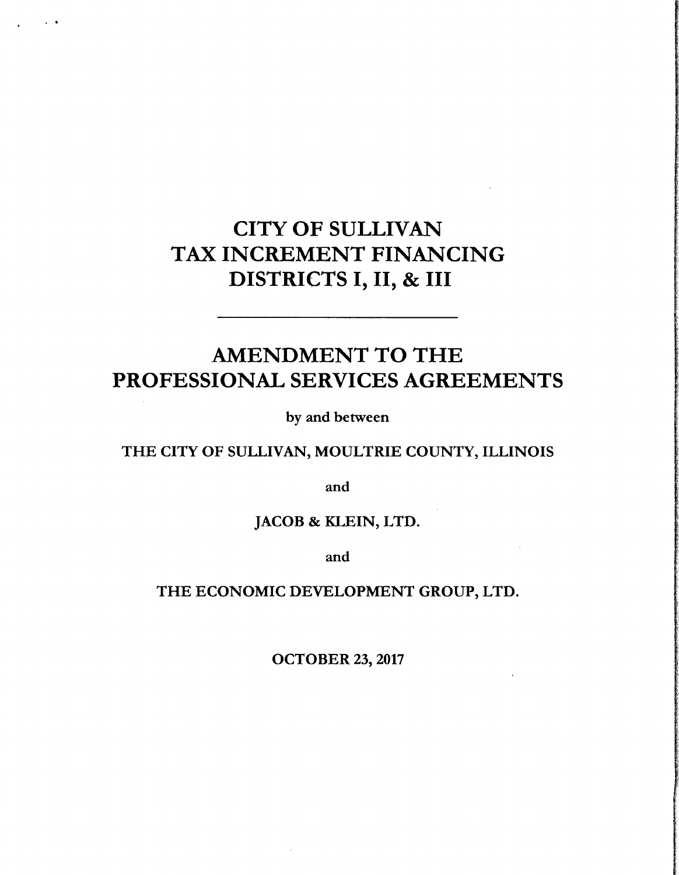# CITY OF SULLIVAN TAX INCREMENT FINANCING DISTRICTS I, II, & III

# AMENDMENT TO THE PROFESSIONAL SERVICES AGREEMENTS

by and between

# THE CITY OF SULLIVAN, MOULTRIE COUNTY, ILLINOIS

and

# JACOB & KLEIN, LTD.

and

# THE ECONOMIC DEVELOPMENT GROUP, LTD.

OCTOBER 23, 2017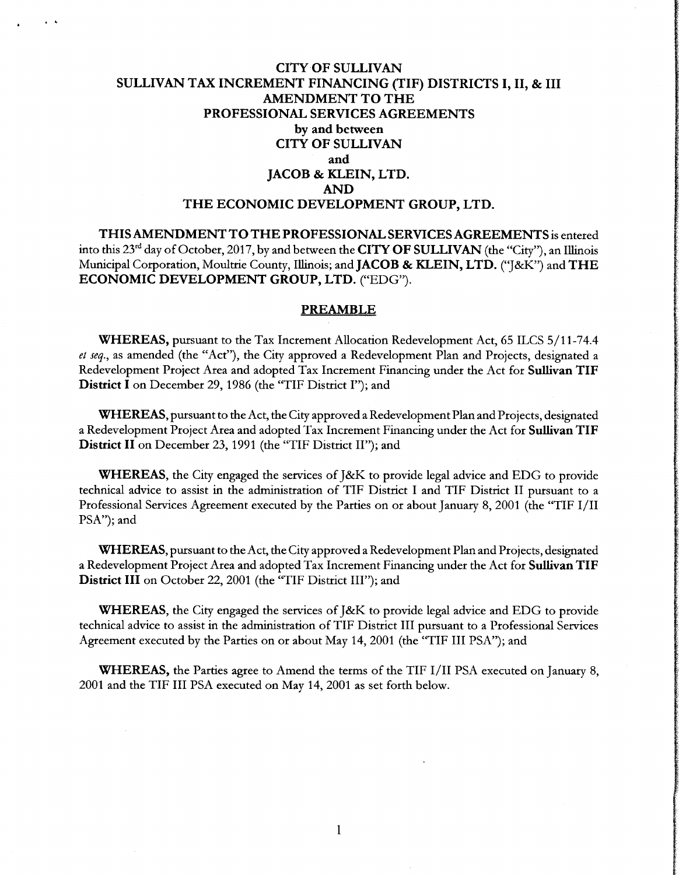### CITY OF SULLIVAN SULLIVAN TAX INCREMENT FINANCING (TIF) DISTRICTS I, II, & III AMENDMENT TO THE PROFESSIONAL SERVICES AGREEMENTS by and between CITY OF SULLIVAN and JACOB & KLEIN, LTD. AND THE ECONOMIC DEVELOPMENT GROUP, LTD.

THIS AMENDMENT TO THE PROFESSIONAL SERVICES AGREEMENTS is entered into this 23<sup>rd</sup> day of October, 2017, by and between the **CITY OF SULLIVAN** (the "City"), an Illinois Municipal Corporation, Moultrie County, Illinois; and JACOB & KLEIN, LTD. ("J&K") and THE ECONOMIC DEVELOPMENT GROUP, LTD. ("EDG").

#### PREAMBLE

WHEREAS, pursuant to the Tax Increment Allocation Redevelopment Act, 65 ILCS 5/11-74.4 et seq., as amended (the "Act"), the City approved a Redevelopment Plan and Projects, designated a Redevelopment Project Area and adopted Tax Increment Financing under the Act for Sullivan TIF District I on December 29, 1986 (the "TIF District I"); and

WHEREAS, pursuant to the Act, the City approved <sup>a</sup> Redevelopment Plan and Projects, designated <sup>a</sup> Redevelopment Project Area and adopted Tax Increment Financing under the Act for Sullivan TIF District II on December 23, 1991 (the "TIF District II"); and

WHEREAS, the City engaged the services of J&K to provide legal advice and EDG to provide technical advice to assist in the administration of TIF District I and TIF District II pursuant to <sup>a</sup> Professional Services Agreement executed by the Parties on or about January 8, 2001 (the "TIF I/II PSA"); and

WHEREAS, pursuant to the Act, the City approved <sup>a</sup> Redevelopment Plan and Projects, designated a Redevelopment Project Area and adopted Tax Increment Financing under the Act for Sullivan TIF District III on October 22, 2001 (the "TIF District III"); and

WHEREAS, the City engaged the services of J&K to provide legal advice and EDG to provide technical advice to assist in the administration of TIF District III pursuant to <sup>a</sup> Professional Services Agreement executed by the Parties on or about May 14, 2001 (the "TIF III PSA"); and

WHEREAS, the Parties agree to Amend the terms of the TIF I/II PSA executed on January 8, <sup>2001</sup> and the TIF III PSA executed on May 14, 2001 as set forth below.

1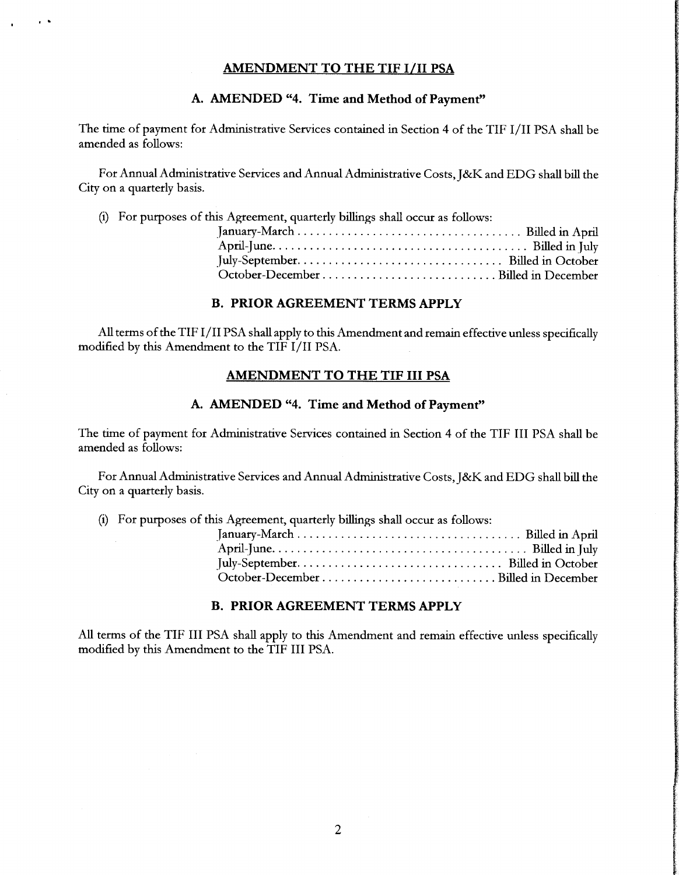### AMENDMENT TO THE TIF I/II PSA

### A. AMENDED "4. Time and Method of Payment"

The time of payment for Administrative Services contained in Section <sup>4</sup> of the TIF I/ II PSA shall be amended as follows:

For Annual Administrative Services and Annual Administrative Costs, J&K and EDG shall bill the City on a quarterly basis.

i) For purposes of this Agreement, quarterly billings shall occur as follows:

### B. PRIOR AGREEMENT TERMS APPLY

All terms of the TIF I/II PSA shall apply to this Amendment and remain effective unless specifically modified by this Amendment to the TIF I/ II PSA.

### AMENDMENT TO THE TIF III PSA

### A. AMENDED "4. Time and Method of Payment"

The time of payment for Administrative Services contained in Section 4 of the TIF III PSA shall be amended as follows:

For Annual Administrative Services and Annual Administrative Costs, J&K and EDG shall bill the City on <sup>a</sup> quarterly basis.

i) For purposes of this Agreement, quarterly billings shall occur as follows:

#### B. PRIOR AGREEMENT TERMS APPLY

All terms of the TIF III PSA shall apply to this Amendment and remain effective unless specifically modified by this Amendment to the TIF III PSA.